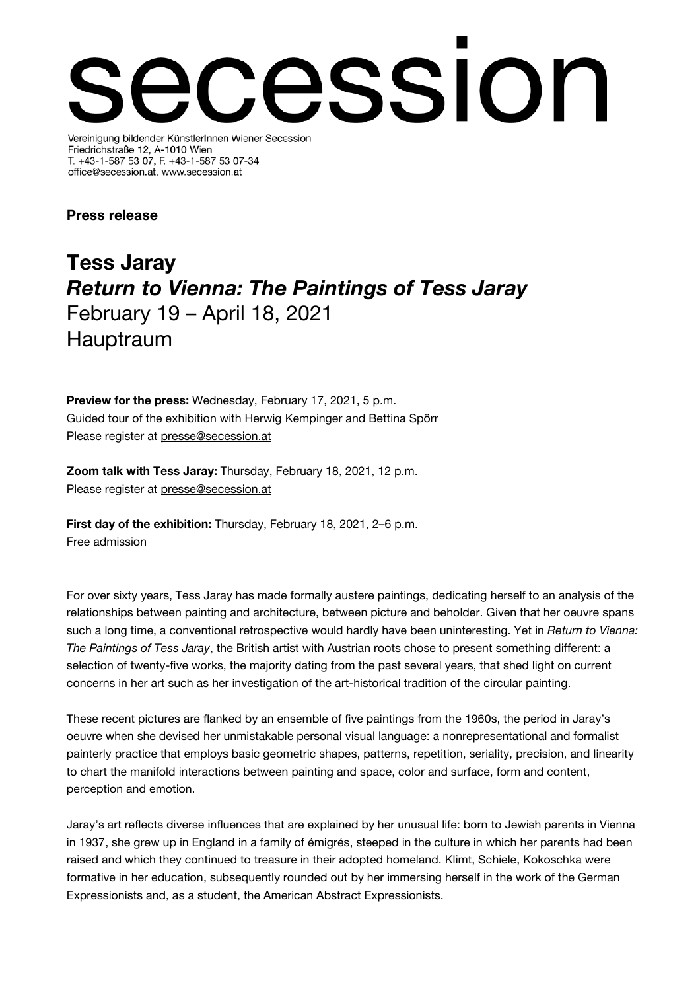# cession Vereinigung bildender KünstlerInnen Wiener Secession

Friedrichstraße 12, A-1010 Wien T. +43-1-587 53 07, F. +43-1-587 53 07-34 office@secession.at, www.secession.at

# Press release

# Tess Jaray Return to Vienna: The Paintings of Tess Jaray February 19 – April 18, 2021 Hauptraum

Preview for the press: Wednesday, February 17, 2021, 5 p.m. Guided tour of the exhibition with Herwig Kempinger and Bettina Spörr Please register at [presse@secession.at](mailto:presse@secession.at)

Zoom talk with Tess Jaray: Thursday, February 18, 2021, 12 p.m. Please register at [presse@secession.at](mailto:presse@secession.at) 

First day of the exhibition: Thursday, February 18, 2021, 2–6 p.m. Free admission

For over sixty years, Tess Jaray has made formally austere paintings, dedicating herself to an analysis of the relationships between painting and architecture, between picture and beholder. Given that her oeuvre spans such a long time, a conventional retrospective would hardly have been uninteresting. Yet in Return to Vienna: The Paintings of Tess Jaray, the British artist with Austrian roots chose to present something different: a selection of twenty-five works, the majority dating from the past several years, that shed light on current concerns in her art such as her investigation of the art-historical tradition of the circular painting.

These recent pictures are flanked by an ensemble of five paintings from the 1960s, the period in Jaray's oeuvre when she devised her unmistakable personal visual language: a nonrepresentational and formalist painterly practice that employs basic geometric shapes, patterns, repetition, seriality, precision, and linearity to chart the manifold interactions between painting and space, color and surface, form and content, perception and emotion.

Jaray's art reflects diverse influences that are explained by her unusual life: born to Jewish parents in Vienna in 1937, she grew up in England in a family of émigrés, steeped in the culture in which her parents had been raised and which they continued to treasure in their adopted homeland. Klimt, Schiele, Kokoschka were formative in her education, subsequently rounded out by her immersing herself in the work of the German Expressionists and, as a student, the American Abstract Expressionists.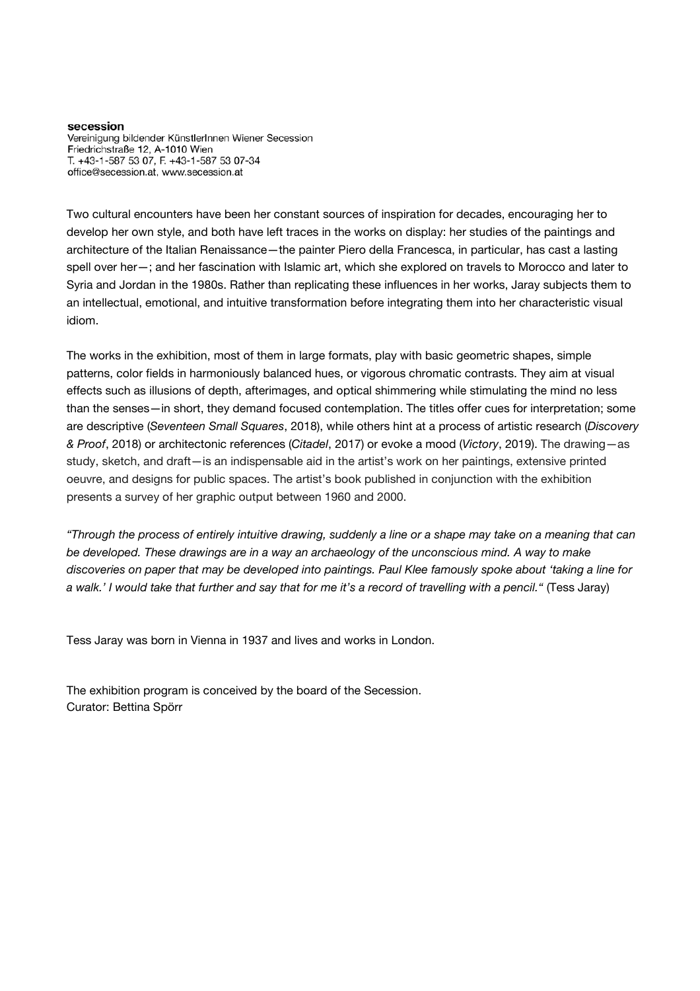secession Vereinigung bildender KünstlerInnen Wiener Secession Friedrichstraße 12, A-1010 Wien T. +43-1-587 53 07, F. +43-1-587 53 07-34 office@secession.at, www.secession.at

Two cultural encounters have been her constant sources of inspiration for decades, encouraging her to develop her own style, and both have left traces in the works on display: her studies of the paintings and architecture of the Italian Renaissance—the painter Piero della Francesca, in particular, has cast a lasting spell over her—; and her fascination with Islamic art, which she explored on travels to Morocco and later to Syria and Jordan in the 1980s. Rather than replicating these influences in her works, Jaray subjects them to an intellectual, emotional, and intuitive transformation before integrating them into her characteristic visual idiom.

The works in the exhibition, most of them in large formats, play with basic geometric shapes, simple patterns, color fields in harmoniously balanced hues, or vigorous chromatic contrasts. They aim at visual effects such as illusions of depth, afterimages, and optical shimmering while stimulating the mind no less than the senses—in short, they demand focused contemplation. The titles offer cues for interpretation; some are descriptive (Seventeen Small Squares, 2018), while others hint at a process of artistic research (Discovery & Proof, 2018) or architectonic references (Citadel, 2017) or evoke a mood (Victory, 2019). The drawing—as study, sketch, and draft—is an indispensable aid in the artist's work on her paintings, extensive printed oeuvre, and designs for public spaces. The artist's book published in conjunction with the exhibition presents a survey of her graphic output between 1960 and 2000.

"Through the process of entirely intuitive drawing, suddenly a line or a shape may take on a meaning that can be developed. These drawings are in a way an archaeology of the unconscious mind. A way to make discoveries on paper that may be developed into paintings. Paul Klee famously spoke about 'taking a line for a walk.' I would take that further and say that for me it's a record of travelling with a pencil." (Tess Jaray)

Tess Jaray was born in Vienna in 1937 and lives and works in London.

The exhibition program is conceived by the board of the Secession. Curator: Bettina Spörr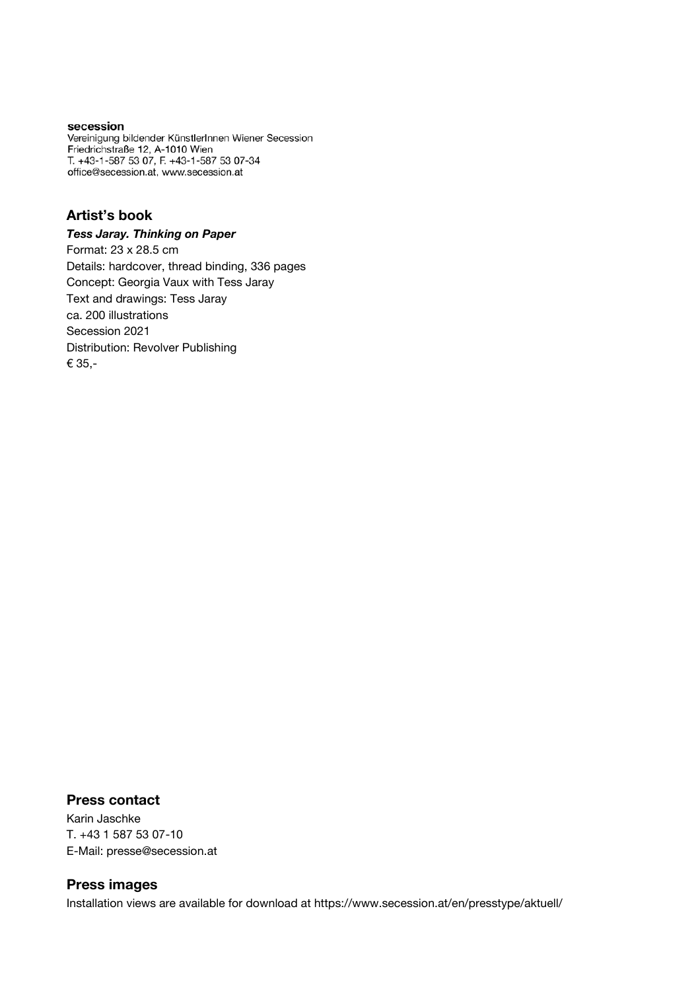#### secession

Vereinigung bildender KünstlerInnen Wiener Secession Friedrichstraße 12, A-1010 Wien T. +43-1-587 53 07, F. +43-1-587 53 07-34 office@secession.at, www.secession.at

## Artist's book

#### Tess Jaray. Thinking on Paper

Format: 23 x 28.5 cm Details: hardcover, thread binding, 336 pages Concept: Georgia Vaux with Tess Jaray Text and drawings: Tess Jaray ca. 200 illustrations Secession 2021 Distribution: Revolver Publishing € 35,-

#### Press contact

Karin Jaschke T. +43 1 587 53 07-10 E-Mail: presse@secession.at

## Press images

Installation views are available for download at https://www.secession.at/en/presstype/aktuell/